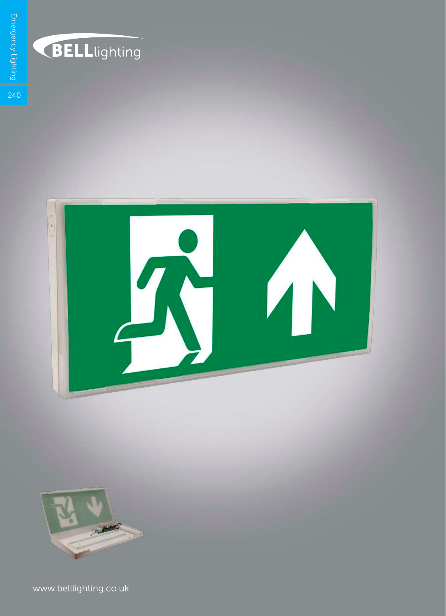

## **BELL**lighting





www.belllighting.co.uk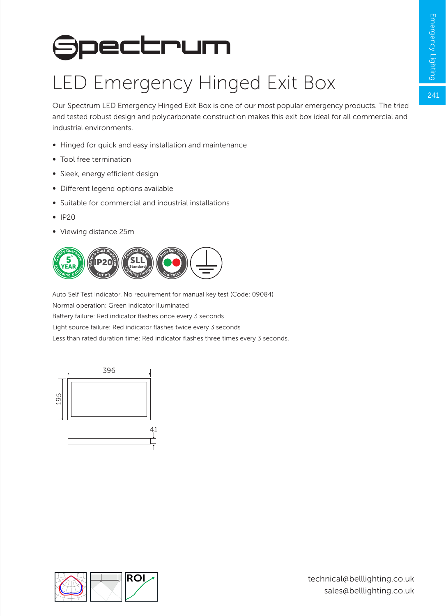## **Spectrum**

## LED Emergency Hinged Exit Box

Our Spectrum LED Emergency Hinged Exit Box is one of our most popular emergency products. The tried and tested robust design and polycarbonate construction makes this exit box ideal for all commercial and industrial environments.

- ∞ Hinged for quick and easy installation and maintenance
- ∞ Tool free termination
- ∞ Sleek, energy efficient design
- ∞ Different legend options available
- ∞ Suitable for commercial and industrial installations
- ∞ IP20
- ∞ Viewing distance 25m



Auto Self Test Indicator. No requirement for manual key test (Code: 09084) Normal operation: Green indicator illuminated Battery failure: Red indicator flashes once every 3 seconds Light source failure: Red indicator flashes twice every 3 seconds Less than rated duration time: Red indicator flashes three times every 3 seconds.



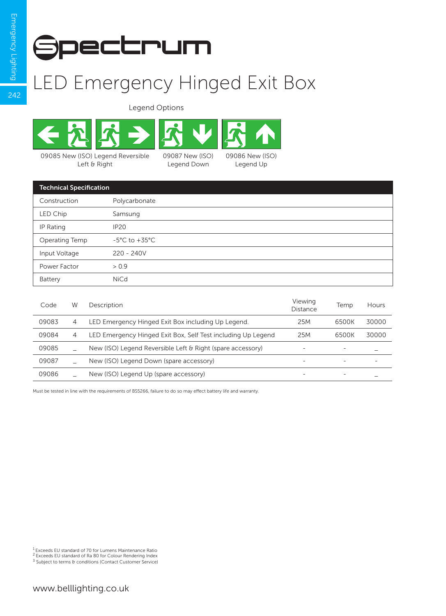$242$ 



## LED Emergency Hinged Exit Box

Legend Options



Left & Right

Legend Down



| <b>Technical Specification</b> |                                   |  |  |
|--------------------------------|-----------------------------------|--|--|
| Construction                   | Polycarbonate                     |  |  |
| LED Chip                       | Samsung                           |  |  |
| IP Rating                      | <b>IP20</b>                       |  |  |
| Operating Temp                 | $-5^{\circ}$ C to $+35^{\circ}$ C |  |  |
| Input Voltage                  | $220 - 240V$                      |  |  |
| Power Factor                   | > 0.9                             |  |  |
| Battery                        | <b>NiCd</b>                       |  |  |
|                                |                                   |  |  |

| Code  | W              | Description                                                  | Viewina<br>Distance | Temp  | Hours |
|-------|----------------|--------------------------------------------------------------|---------------------|-------|-------|
| 09083 | 4              | LED Emergency Hinged Exit Box including Up Legend.           | 25M                 | 6500K | 30000 |
| 09084 | $\overline{4}$ | LED Emergency Hinged Exit Box, Self Test including Up Legend | 25M                 | 6500K | 30000 |
| 09085 |                | New (ISO) Legend Reversible Left & Right (spare accessory)   | -                   | -     |       |
| 09087 |                | New (ISO) Legend Down (spare accessory)                      | -                   | ۰     | -     |
| 09086 |                | New (ISO) Legend Up (spare accessory)                        | -                   | -     |       |

Must be tested in line with the requirements of BS5266, failure to do so may effect battery life and warranty.

<sup>1</sup> Exceeds EU standard of 70 for Lumens Maintenance Ratio<br><sup>2</sup> Exceeds EU standard of Ra 80 for Colour Rendering Index

<sup>3</sup> Subject to terms & conditions (Contact Customer Service)